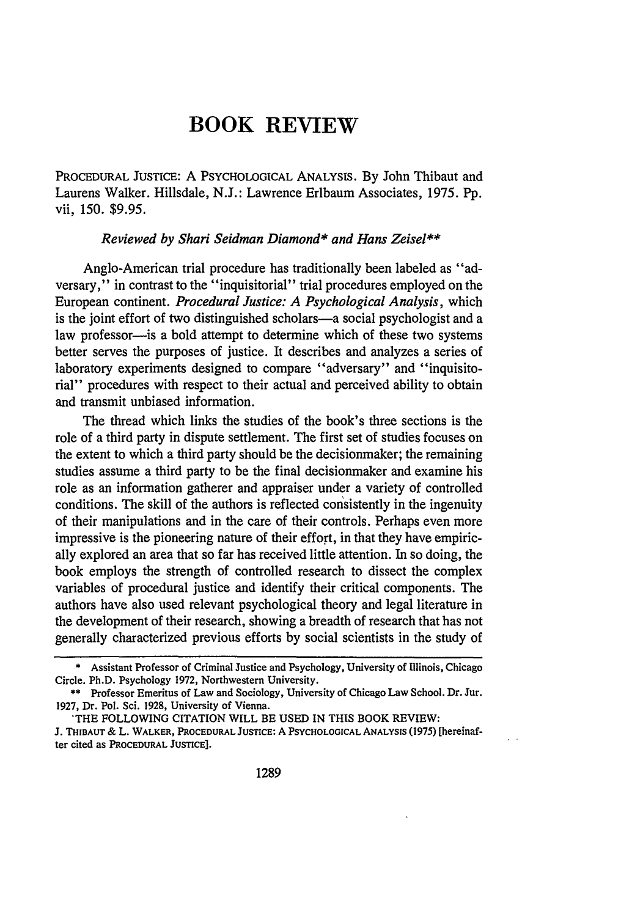## **BOOK REVIEW**

PROCEDURAL JUSTICE: A PSYCHOLOGICAL **ANALYSIS.** By John Thibaut and Laurens Walker. Hillsdale, N.J.: Lawrence Erlbaum Associates, 1975. Pp. vii, 150. \$9.95.

## *Reviewed by Shari Seidman Diamond\* and Hans Zeisel\*\**

Anglo-American trial procedure has traditionally been labeled as "adversary," in contrast to the "inquisitorial" trial procedures employed on the European continent. *Procedural Justice: A Psychological Analysis,* which is the joint effort of two distinguished scholars-a social psychologist and a law professor-is a bold attempt to determine which of these two systems better serves the purposes of justice. It describes and analyzes a series of laboratory experiments designed to compare "adversary" and "inquisitorial" procedures with respect to their actual and perceived ability to obtain and transmit unbiased information.

The thread which links the studies of the book's three sections is the role of a third party in dispute settlement. The first set of studies focuses on the extent to which a third party should be the decisionmaker; the remaining studies assume a third party to be the final decisionmaker and examine his role as an information gatherer and appraiser under a variety of controlled conditions. The skill of the authors is reflected consistently in the ingenuity of their manipulations and in the care of their controls. Perhaps even more impressive is the pioneering nature of their effort, in that they have empirically explored an area that so far has received little attention. In so doing, the book employs the strength of controlled research to dissect the complex variables of procedural justice and identify their critical components. The authors have also used relevant psychological theory and legal literature in the development of their research, showing a breadth of research that has not generally characterized previous efforts by social scientists in the study of

<sup>\*</sup> Assistant Professor of Criminal Justice and Psychology, University of Illinois, Chicago Circle. Ph.D. Psychology **1972,** Northwestern University.

**<sup>\*\*</sup>** Professor Emeritus of Law and Sociology, University of Chicago Law School. Dr. Jur. **1927,** Dr. Pol. Sci. **1928,** University of Vienna.

<sup>\*</sup>THE FOLLOWING CITATION WILL BE **USED** IN **THIS** BOOK REVIEW:

**J. THIBAUT & L. WALKER, PROCEDURAL JUSTICE:** A **PSYCHOLOGICAL ANALYSIS (1975)** [hereinafter cited as **PROCEDURAL JUSTICE].**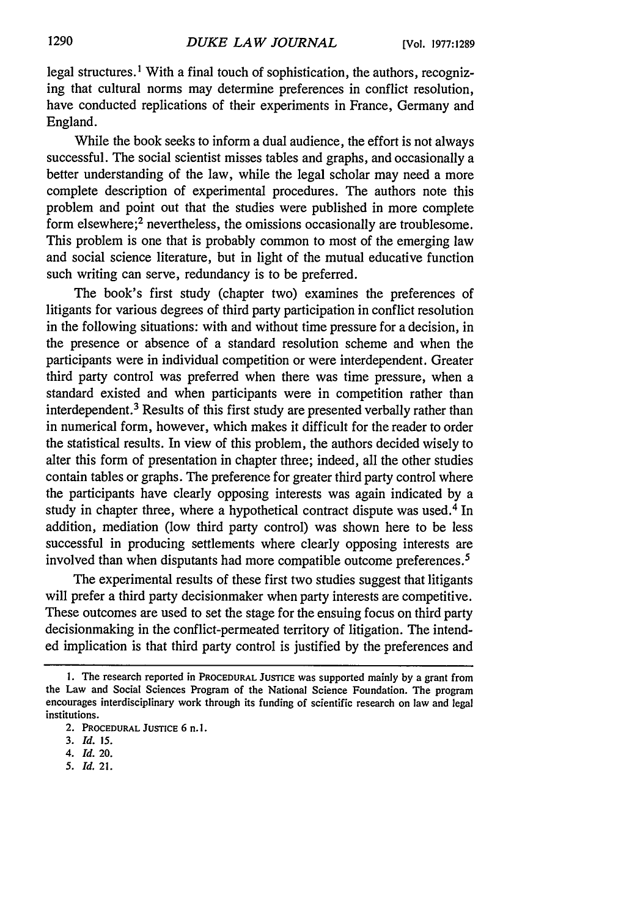legal structures.<sup>1</sup> With a final touch of sophistication, the authors, recognizing that cultural norms may determine preferences in conflict resolution, have conducted replications of their experiments in France, Germany and England.

While the book seeks to inform a dual audience, the effort is not always successful. The social scientist misses tables and graphs, and occasionally a better understanding of the law, while the legal scholar may need a more complete description of experimental procedures. The authors note this problem and point out that the studies were published in more complete form elsewhere;<sup>2</sup> nevertheless, the omissions occasionally are troublesome. This problem is one that is probably common to most of the emerging law and social science literature, but in light of the mutual educative function such writing can serve, redundancy is to be preferred.

The book's first study (chapter two) examines the preferences of litigants for various degrees of third party participation in conflict resolution in the following situations: with and without time pressure for a decision, in the presence or absence of a standard resolution scheme and when the participants were in individual competition or were interdependent. Greater third party control was preferred when there was time pressure, when a standard existed and when participants were in competition rather than interdependent.<sup>3</sup> Results of this first study are presented verbally rather than in numerical form, however, which makes it difficult for the reader to order the statistical results. In view of this problem, the authors decided wisely to alter this form of presentation in chapter three; indeed, all the other studies contain tables or graphs. The preference for greater third party control where the participants have clearly opposing interests was again indicated by a study in chapter three, where a hypothetical contract dispute was used.<sup>4</sup> In addition, mediation (low third party control) was shown here to be less successful in producing settlements where clearly opposing interests are involved than when disputants had more compatible outcome preferences.<sup>5</sup>

The experimental results of these first two studies suggest that litigants will prefer a third party decisionmaker when party interests are competitive. These outcomes are used to set the stage for the ensuing focus on third party decisionmaking in the conflict-permeated territory of litigation. The intended implication is that third party control is justified by the preferences and

*5. Id.* 21.

**<sup>1.</sup>** The research reported in PROCEDURAL JUSTICE was supported mainly **by** a grant from the Law and Social Sciences Program of the National Science Foundation. The program encourages interdisciplinary work through its funding of scientific research on law and legal institutions.

<sup>2.</sup> **PROCEDURAL JUSTICE** 6 n. **i.**

**<sup>3.</sup>** *Id. 15.*

*<sup>4.</sup> Id.* 20.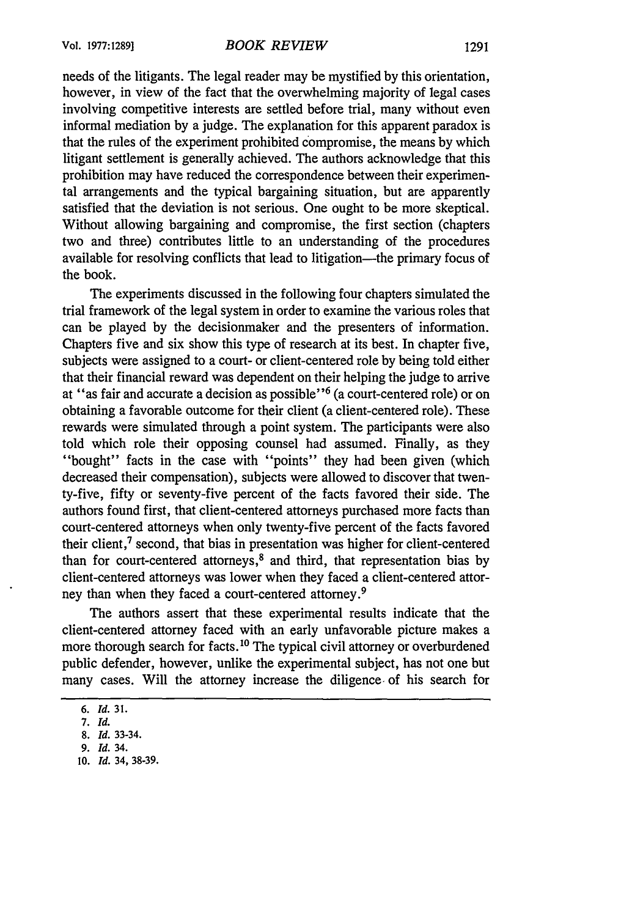needs of the litigants. The legal reader may be mystified by this orientation, however, in view of the fact that the overwhelming majority of legal cases involving competitive interests are settled before trial, many without even informal mediation by a judge. The explanation for this apparent paradox is that the rules of the experiment prohibited compromise, the means by which litigant settlement is generally achieved. The authors acknowledge that this prohibition may have reduced the correspondence between their experimental arrangements and the typical bargaining situation, but are apparently satisfied that the deviation is not serious. One ought to be more skeptical. Without allowing bargaining and compromise, the first section (chapters two and three) contributes little to an understanding of the procedures available for resolving conflicts that lead to litigation—the primary focus of the book.

The experiments discussed in the following four chapters simulated the trial framework of the legal system in order to examine the various roles that can be played by the decisionmaker and the presenters of information. Chapters five and six show this type of research at its best. In chapter five, subjects were assigned to a court- or client-centered role by being told either that their financial reward was dependent on their helping the judge to arrive at "as fair and accurate a decision as possible"<sup>6</sup> (a court-centered role) or on obtaining a favorable outcome for their client (a client-centered role). These rewards were simulated through a point system. The participants were also told which role their opposing counsel had assumed. Finally, as they "bought" facts in the case with "points" they had been given (which decreased their compensation), subjects were allowed to discover that twenty-five, fifty or seventy-five percent of the facts favored their side. The authors found first, that client-centered attorneys purchased more facts than court-centered attorneys when only twenty-five percent of the facts favored their client, $<sup>7</sup>$  second, that bias in presentation was higher for client-centered</sup> than for court-centered attorneys, $8$  and third, that representation bias by client-centered attorneys was lower when they faced a client-centered attorney than when they faced a court-centered attorney.<sup>9</sup>

The authors assert that these experimental results indicate that the client-centered attorney faced with an early unfavorable picture makes a more thorough search for facts.<sup>10</sup> The typical civil attorney or overburdened public defender, however, unlike the experimental subject, has not one but many cases. Will the attorney increase the diligence, of his search for

**10.** *Id.* **34, 38-39.**

*<sup>6.</sup> Id.* 31.

*<sup>7.</sup> Id.*

<sup>8.</sup> *Id.* 33-34.

**<sup>9.</sup>** *Id.* 34.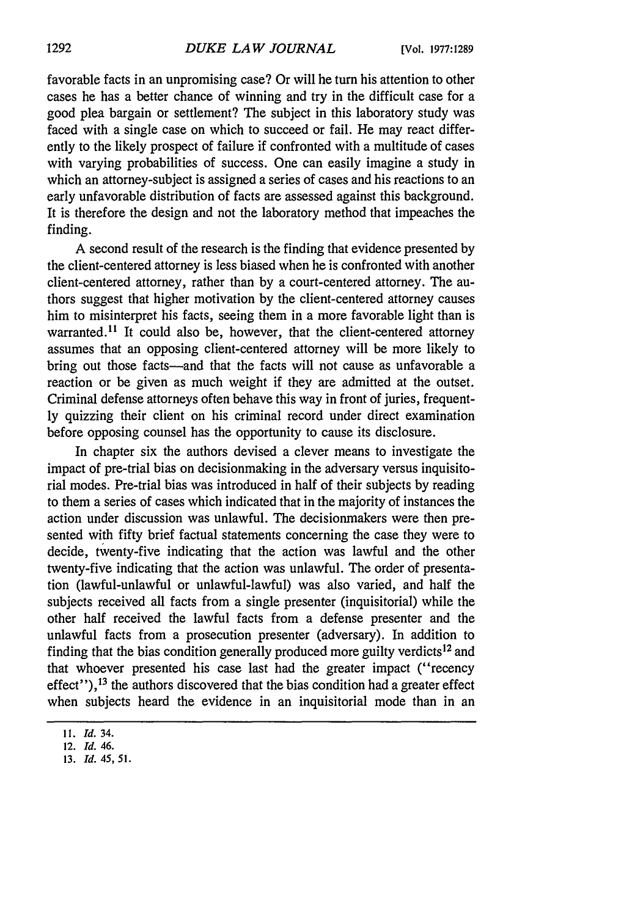favorable facts in an unpromising case? Or will he turn his attention to other cases he has a better chance of winning and try in the difficult case for a good plea bargain or settlement? The subject in this laboratory study was faced with a single case on which to succeed or fail. He may react differently to the likely prospect of failure if confronted with a multitude of cases with varying probabilities of success. One can easily imagine a study in which an attorney-subject is assigned a series of cases and his reactions to an early unfavorable distribution of facts are assessed against this background. It is therefore the design and not the laboratory method that impeaches the finding.

A second result of the research is the finding that evidence presented by the client-centered attorney is less biased when he is confronted with another client-centered attorney, rather than by a court-centered attorney. The authors suggest that higher motivation by the client-centered attorney causes him to misinterpret his facts, seeing them in a more favorable light than is warranted.<sup>11</sup> It could also be, however, that the client-centered attorney assumes that an opposing client-centered attorney will be more likely to bring out those facts-and that the facts will not cause as unfavorable a reaction or be given as much weight if they are admitted at the outset. Criminal defense attorneys often behave this way in front of juries, frequently quizzing their client on his criminal record under direct examination before opposing counsel has the opportunity to cause its disclosure.

In chapter six the authors devised a clever means to investigate the impact of pre-trial bias on decisionmaking in the adversary versus inquisitorial modes. Pre-trial bias was introduced in half of their subjects by reading to them a series of cases which indicated that in the majority of instances the action under discussion was unlawful. The decisionmakers were then presented with fifty brief factual statements concerning the case they were to decide, twenty-five indicating that the action was lawful and the other twenty-five indicating that the action was unlawful. The order of presentation (lawful-unlawful or unlawful-lawful) was also varied, and half the subjects received all facts from a single presenter (inquisitorial) while the other half received the lawful facts from a defense presenter and the unlawful facts from a prosecution presenter (adversary). In addition to finding that the bias condition generally produced more guilty verdicts<sup>12</sup> and that whoever presented his case last had the greater impact ("recency effect"),<sup>13</sup> the authors discovered that the bias condition had a greater effect when subjects heard the evidence in an inquisitorial mode than in an

**<sup>11.</sup>** *Id.* 34.

<sup>12.</sup> *Id. 46.*

**<sup>13.</sup>** *Id. 45, 51.*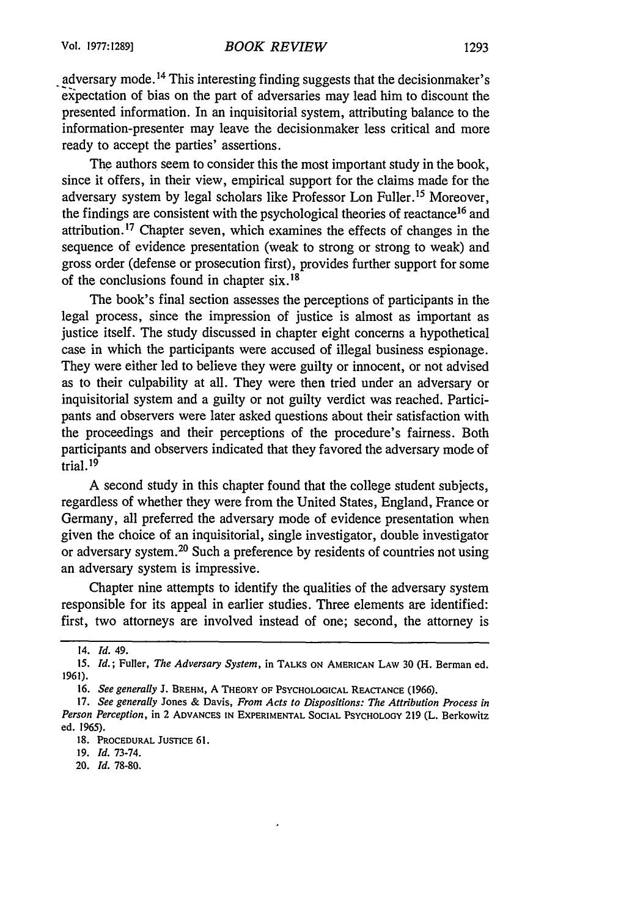adversary mode.<sup>14</sup> This interesting finding suggests that the decisionmaker's expectation of bias on the part of adversaries may lead him to discount the presented information. In an inquisitorial system, attributing balance to the information-presenter may leave the decisionmaker less critical and more ready to accept the parties' assertions.

The authors seem to consider this the most important study in the book, since it offers, in their view, empirical support for the claims made for the adversary system by legal scholars like Professor Lon Fuller.15 Moreover, the findings are consistent with the psychological theories of reactance<sup>16</sup> and attribution.17 Chapter seven, which examines the effects of changes in the sequence of evidence presentation (weak to strong or strong to weak) and gross order (defense or prosecution first), provides further support for some of the conclusions found in chapter six. <sup>18</sup>

The book's final section assesses the perceptions of participants in the legal process, since the impression of justice is almost as important as justice itself. The study discussed in chapter eight concerns a hypothetical case in which the participants were accused of illegal business espionage. They were either led to believe they were guilty or innocent, or not advised as to their culpability at all. They were then tried under an adversary or inquisitorial system and a guilty or not guilty verdict was reached. Participants and observers were later asked questions about their satisfaction with the proceedings and their perceptions of the procedure's fairness. Both participants and observers indicated that they favored the adversary mode of trial. 19

A second study in this chapter found that the college student subjects, regardless of whether they were from the United States, England, France or Germany, all preferred the adversary mode of evidence presentation when given the choice of an inquisitorial, single investigator, double investigator or adversary system. 20 Such a preference by residents of countries not using an adversary system is impressive.

Chapter nine attempts to identify the qualities of the adversary system responsible for its appeal in earlier studies. Three elements are identified: first, two attorneys are involved instead of one; second, the attorney is

<sup>14.</sup> *Id. 49.*

*<sup>15.</sup> Id.;* Fuller, *The Adversary System,* **in TALKS** ON **AMERICAN** LAW 30 (H. Berman ed. 1961).

<sup>16.</sup> *See generally* J. BREHM, A **THEORY** OF PSYCHOLOGICAL REACTANCE (1966).

<sup>17.</sup> *See generally* Jones & Davis, *From Acts to Dispositions: The Attribution Process in Person Perception,* in 2 **ADVANCES IN** EXPERIMENTAL **SOCIAL** PSYCHOLOGY 219 (L. Berkowitz ed. 1965).

**<sup>18.</sup> PROCEDURAL JUSTICE 61.**

**<sup>19.</sup>** *Id.* 73-74.

<sup>20.</sup> *Id.* 78-80.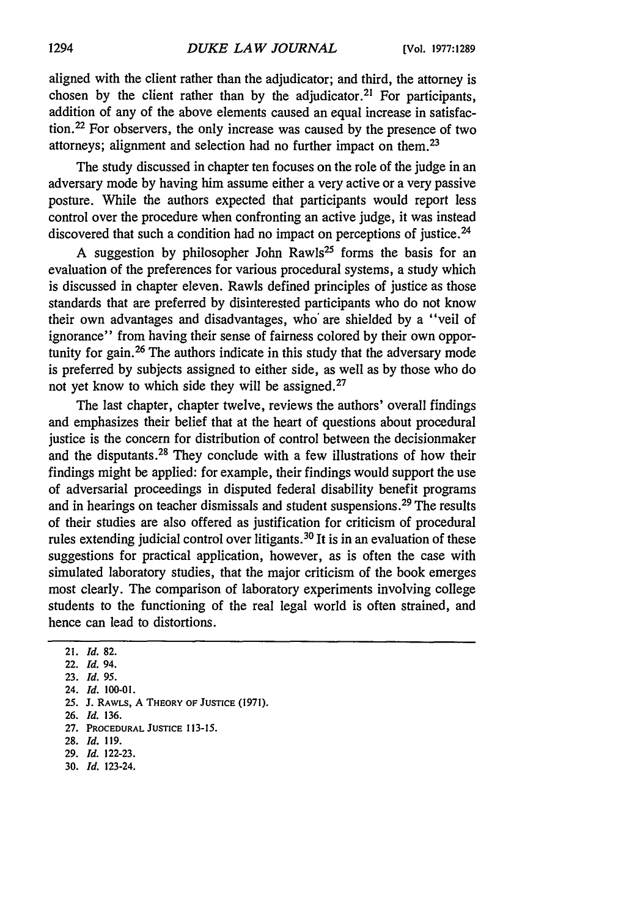aligned with the client rather than the adjudicator; and third, the attorney is chosen by the client rather than by the adjudicator.<sup>21</sup> For participants, addition of any of the above elements caused an equal increase in satisfaction. 22 For observers, the only increase was caused by the presence of two attorneys; alignment and selection had no further impact on them.<sup>23</sup>

The study discussed in chapter ten focuses on the role of the judge in an adversary mode by having him assume either a very active or a very passive posture. While the authors expected that participants would report less control over the procedure when confronting an active judge, it was instead discovered that such a condition had no impact on perceptions of justice.<sup>24</sup>

A suggestion by philosopher John Rawls<sup>25</sup> forms the basis for an evaluation of the preferences for various procedural systems, a study which is discussed in chapter eleven. Rawls defined principles of justice as those standards that are preferred by disinterested participants who do not know their own advantages and disadvantages, who' are shielded by a "veil of ignorance" from having their sense of fairness colored by their own opportunity for gain. 26 The authors indicate in this study that the adversary mode is preferred by subjects assigned to either side, as well as by those who do not yet know to which side they will be assigned.<sup>27</sup>

The last chapter, chapter twelve, reviews the authors' overall findings and emphasizes their belief that at the heart of questions about procedural justice is the concern for distribution of control between the decisionmaker and the disputants.28 They conclude with a few illustrations of how their findings might be applied: for example, their findings would support the use of adversarial proceedings in disputed federal disability benefit programs and in hearings on teacher dismissals and student suspensions.<sup>29</sup> The results of their studies are also offered as justification for criticism of procedural rules extending judicial control over litigants. 30 It is in an evaluation of these suggestions for practical application, however, as is often the case with simulated laboratory studies, that the major criticism of the book emerges most clearly. The comparison of laboratory experiments involving college students to the functioning of the real legal world is often strained, and hence can lead to distortions.

**28.** *Id.* **119.**

**30.** *Id.* **123-24.**

<sup>21.</sup> *Id.* **82.**

<sup>22.</sup> *Id.* 94.

**<sup>23.</sup>** *Id. 95.*

<sup>24.</sup> *Id.* **100-01.**

**<sup>25.</sup> J.** RAWLS, **A** THEORY **OF JUSTICE (1971).**

**<sup>26.</sup>** *Id.* **136.**

**<sup>27.</sup>** PROCEDURAL **JUSTICE 113-15.**

**<sup>29.</sup>** *Id.* **122-23.**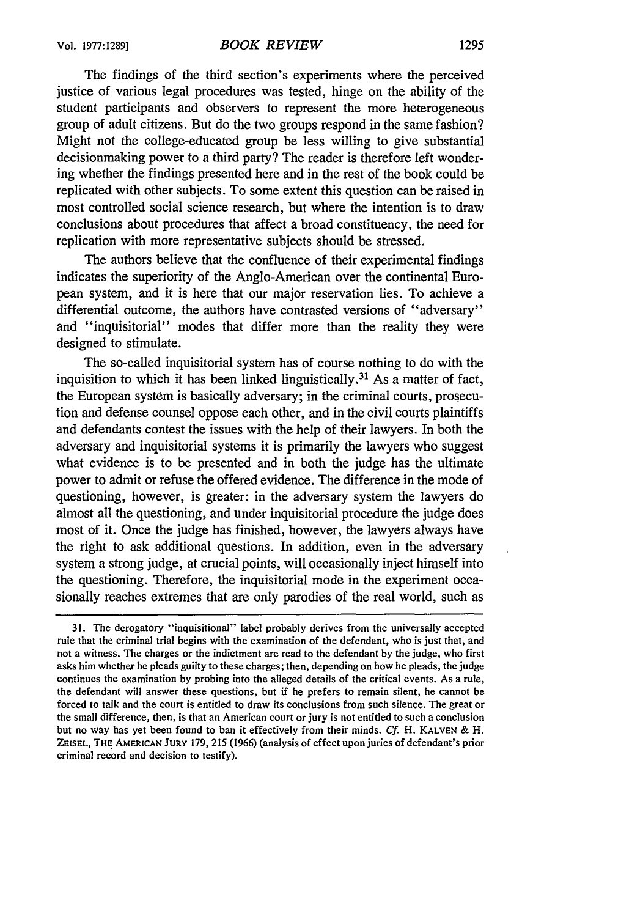The findings of the third section's experiments where the perceived justice of various legal procedures was tested, hinge on the ability of the student participants and observers to represent the more heterogeneous group of adult citizens. But do the two groups respond in the same fashion? Might not the college-educated group be less willing to give substantial decisionmaking power to a third party? The reader is therefore left wondering whether the findings presented here and in the rest of the book could be replicated with other subjects. To some extent this question can be raised in most controlled social science research, but where the intention is to draw conclusions about procedures that affect a broad constituency, the need for replication with more representative subjects should be stressed.

The authors believe that the confluence of their experimental findings indicates the superiority of the Anglo-American over the continental European system, and it is here that our major reservation lies. To achieve a differential outcome, the authors have contrasted versions of "adversary" and "inquisitorial" modes that differ more than the reality they were designed to stimulate.

The so-called inquisitorial system has of course nothing to do with the inquisition to which it has been linked linguistically. 31 As a matter of fact, the European system is basically adversary; in the criminal courts, prosecution and defense counsel oppose each other, and in the civil courts plaintiffs and defendants contest the issues with the help of their lawyers. In both the adversary and inquisitorial systems it is primarily the lawyers who suggest what evidence is to be presented and in both the judge has the ultimate power to admit or refuse the offered evidence. The difference in the mode of questioning, however, is greater: in the adversary system the lawyers do almost all the questioning, and under inquisitorial procedure the judge does most of it. Once the judge has finished, however, the lawyers always have the right to ask additional questions. In addition, even in the adversary system a strong judge, at crucial points, will occasionally inject himself into the questioning. Therefore, the inquisitorial mode in the experiment occasionally reaches extremes that are only parodies of the real world, such as

<sup>31.</sup> The derogatory "inquisitional" label probably derives from the universally accepted rule that the criminal trial begins with the examination of the defendant, who is just that, and not a witness. The charges or the indictment are read to the defendant by the judge, who first asks him whether he pleads guilty to these charges; then, depending on how he pleads, the judge continues the examination by probing into the alleged details of the critical events. As a rule, the defendant will answer these questions, but if he prefers to remain silent, he cannot be forced to talk and the court is entitled to draw its conclusions from such silence. The great or the small difference, then, is that an American court or jury is not entitled to such a conclusion but no way has yet been found to ban it effectively from their minds. **Cf.** H. **KALVEN** & H. ZEISEL, **THE AMERICAN JURY 179,** 215 (1966) (analysis of effect upon juries of defendant's prior criminal record and decision to testify).